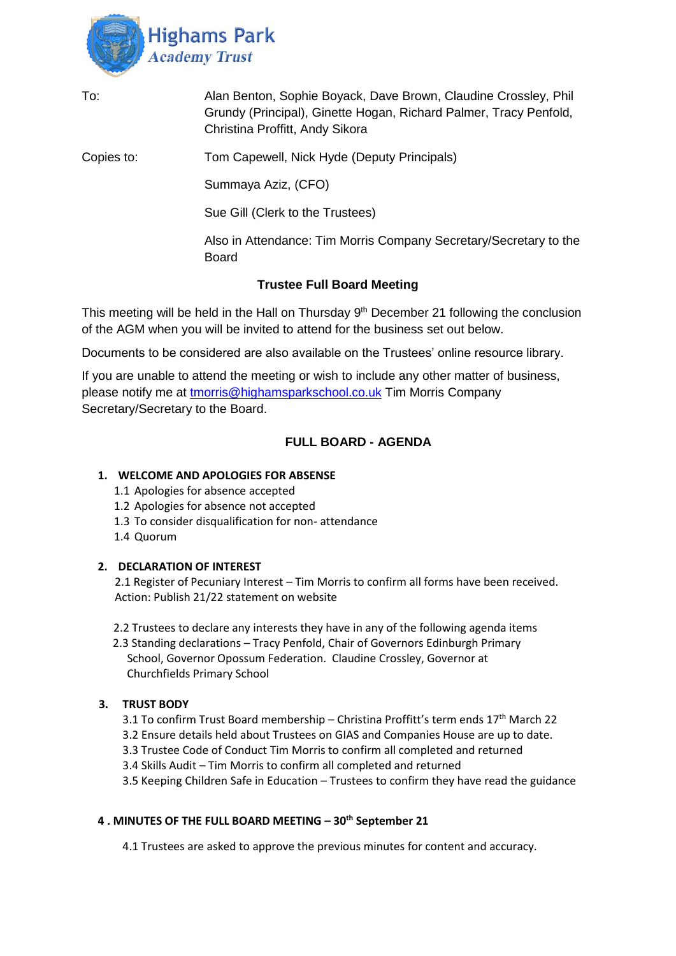

| To:        | Alan Benton, Sophie Boyack, Dave Brown, Claudine Crossley, Phil<br>Grundy (Principal), Ginette Hogan, Richard Palmer, Tracy Penfold,<br>Christina Proffitt, Andy Sikora |
|------------|-------------------------------------------------------------------------------------------------------------------------------------------------------------------------|
| Copies to: | Tom Capewell, Nick Hyde (Deputy Principals)                                                                                                                             |
|            | Summaya Aziz, (CFO)                                                                                                                                                     |
|            | Sue Gill (Clerk to the Trustees)                                                                                                                                        |
|            | Also in Attendance: Tim Morris Company Secretary/Secretary to the<br><b>Board</b>                                                                                       |
|            | <b>Trustee Full Board Meeting</b>                                                                                                                                       |

This meeting will be held in the Hall on Thursday 9<sup>th</sup> December 21 following the conclusion of the AGM when you will be invited to attend for the business set out below.

Documents to be considered are also available on the Trustees' online resource library.

If you are unable to attend the meeting or wish to include any other matter of business, please notify me at [tmorris@highamsparkschool.co.uk](mailto:tmorris@highamsparkschool.co.uk) Tim Morris Company Secretary/Secretary to the Board.

# **FULL BOARD - AGENDA**

# **1. WELCOME AND APOLOGIES FOR ABSENSE**

- 1.1 Apologies for absence accepted
- 1.2 Apologies for absence not accepted
- 1.3 To consider disqualification for non- attendance
- 1.4 Quorum

#### **2. DECLARATION OF INTEREST**

2.1 Register of Pecuniary Interest – Tim Morris to confirm all forms have been received. Action: Publish 21/22 statement on website

2.2 Trustees to declare any interests they have in any of the following agenda items

 2.3 Standing declarations – Tracy Penfold, Chair of Governors Edinburgh Primary School, Governor Opossum Federation. Claudine Crossley, Governor at Churchfields Primary School

# **3. TRUST BODY**

- 3.1 To confirm Trust Board membership Christina Proffitt's term ends  $17<sup>th</sup>$  March 22
- 3.2 Ensure details held about Trustees on GIAS and Companies House are up to date.
- 3.3 Trustee Code of Conduct Tim Morris to confirm all completed and returned
- 3.4 Skills Audit Tim Morris to confirm all completed and returned

3.5 Keeping Children Safe in Education – Trustees to confirm they have read the guidance

### **4 . MINUTES OF THE FULL BOARD MEETING – 30th September 21**

4.1 Trustees are asked to approve the previous minutes for content and accuracy.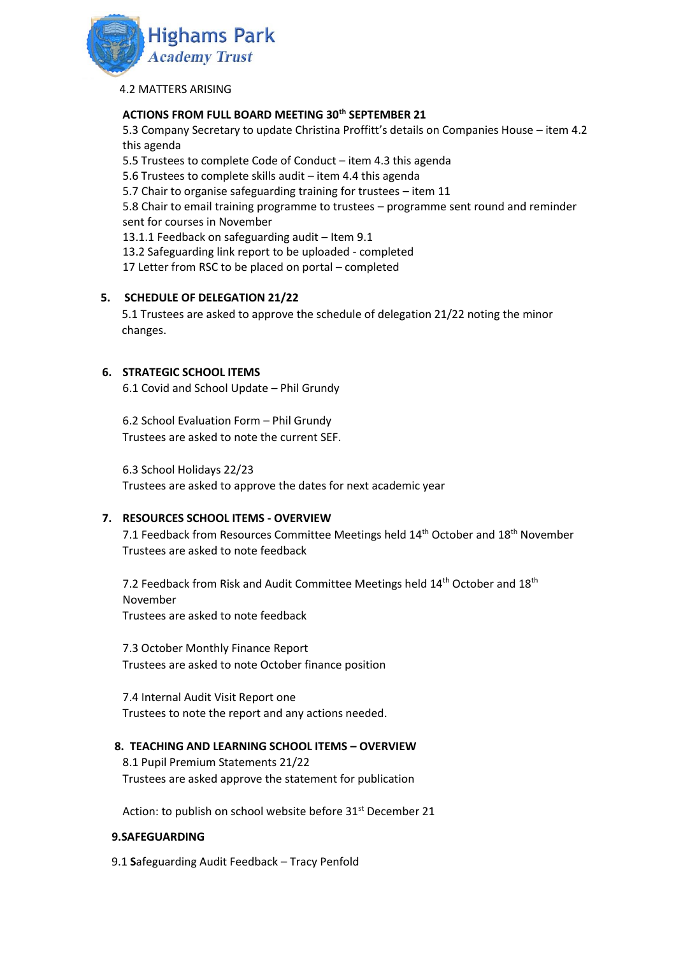

4.2 MATTERS ARISING

# **ACTIONS FROM FULL BOARD MEETING 30th SEPTEMBER 21**

5.3 Company Secretary to update Christina Proffitt's details on Companies House – item 4.2 this agenda

5.5 Trustees to complete Code of Conduct – item 4.3 this agenda

5.6 Trustees to complete skills audit – item 4.4 this agenda

5.7 Chair to organise safeguarding training for trustees – item 11

5.8 Chair to email training programme to trustees – programme sent round and reminder sent for courses in November

13.1.1 Feedback on safeguarding audit – Item 9.1

13.2 Safeguarding link report to be uploaded - completed

17 Letter from RSC to be placed on portal – completed

## **5. SCHEDULE OF DELEGATION 21/22**

5.1 Trustees are asked to approve the schedule of delegation 21/22 noting the minor changes.

## **6. STRATEGIC SCHOOL ITEMS**

6.1 Covid and School Update – Phil Grundy

6.2 School Evaluation Form – Phil Grundy Trustees are asked to note the current SEF.

6.3 School Holidays 22/23

Trustees are asked to approve the dates for next academic year

#### **7. RESOURCES SCHOOL ITEMS - OVERVIEW**

7.1 Feedback from Resources Committee Meetings held  $14<sup>th</sup>$  October and  $18<sup>th</sup>$  November Trustees are asked to note feedback

7.2 Feedback from Risk and Audit Committee Meetings held 14<sup>th</sup> October and 18<sup>th</sup> November Trustees are asked to note feedback

7.3 October Monthly Finance Report Trustees are asked to note October finance position

7.4 Internal Audit Visit Report one Trustees to note the report and any actions needed.

#### **8. TEACHING AND LEARNING SCHOOL ITEMS – OVERVIEW**

8.1 Pupil Premium Statements 21/22 Trustees are asked approve the statement for publication

Action: to publish on school website before 31<sup>st</sup> December 21

#### **9.SAFEGUARDING**

9.1 **S**afeguarding Audit Feedback – Tracy Penfold